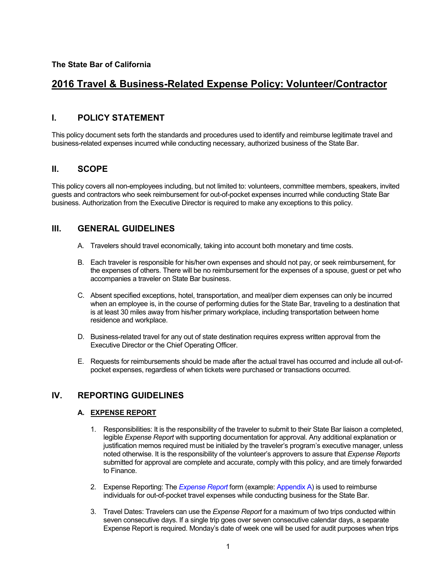# **2016 Travel & Business-Related Expense Policy: Volunteer/Contractor**

# **I. POLICY STATEMENT**

This policy document sets forth the standards and procedures used to identify and reimburse legitimate travel and business-related expenses incurred while conducting necessary, authorized business of the State Bar.

# **II. SCOPE**

This policy covers all non-employees including, but not limited to: volunteers, committee members, speakers, invited guests and contractors who seek reimbursement for out-of-pocket expenses incurred while conducting State Bar business. Authorization from the Executive Director is required to make any exceptions to this policy.

# **III. GENERAL GUIDELINES**

- A. Travelers should travel economically, taking into account both monetary and time costs.
- B. Each traveler is responsible for his/her own expenses and should not pay, or seek reimbursement, for the expenses of others. There will be no reimbursement for the expenses of a spouse, guest or pet who accompanies a traveler on State Bar business.
- C. Absent specified exceptions, hotel, transportation, and meal/per diem expenses can only be incurred when an employee is, in the course of performing duties for the State Bar, traveling to a destination that is at least 30 miles away from his/her primary workplace, including transportation between home residence and workplace.
- D. Business-related travel for any out of state destination requires express written approval from the Executive Director or the Chief Operating Officer.
- E. Requests for reimbursements should be made after the actual travel has occurred and include all out-ofpocket expenses, regardless of when tickets were purchased or transactions occurred.

# **IV. REPORTING GUIDELINES**

# **A. EXPENSE REPORT**

- 1. Responsibilities: It is the responsibility of the traveler to submit to their State Bar liaison a completed, legible *Expense Report* with supporting documentation for approval. Any additional explanation or justification memos required must be initialed by the traveler's program's executive manager, unless noted otherwise. It is the responsibility of the volunteer's approvers to assure that *Expense Reports* submitted for approval are complete and accurate, comply with this policy, and are timely forwarded to Finance.
- 2. Expense Reporting: The *[Expense Report](http://cc.calbar.ca.gov/portals/11/documents/Expense-Report_2016.xlsx)* form (example: [Appendix A\)](#page-7-0) is used to reimburse individuals for out-of-pocket travel expenses while conducting business for the State Bar.
- 3. Travel Dates: Travelers can use the *Expense Report* for a maximum of two trips conducted within seven consecutive days. If a single trip goes over seven consecutive calendar days, a separate Expense Report is required. Monday's date of week one will be used for audit purposes when trips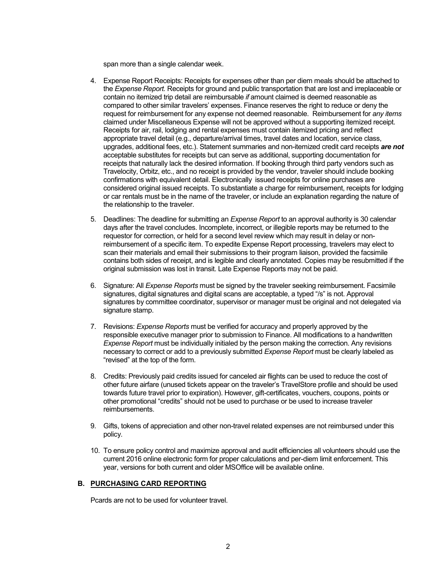span more than a single calendar week.

- 4. Expense Report Receipts: Receipts for expenses other than per diem meals should be attached to the *Expense Report.* Receipts for ground and public transportation that are lost and irreplaceable or contain no itemized trip detail are reimbursable *if* amount claimed is deemed reasonable as compared to other similar travelers' expenses. Finance reserves the right to reduce or deny the request for reimbursement for any expense not deemed reasonable. Reimbursement for *any items* claimed under Miscellaneous Expense will not be approved without a supporting itemized receipt. Receipts for air, rail, lodging and rental expenses must contain itemized pricing and reflect appropriate travel detail (e.g., departure/arrival times, travel dates and location, service class, upgrades, additional fees, etc.). Statement summaries and non-itemized credit card receipts *are not* acceptable substitutes for receipts but can serve as additional, supporting documentation for receipts that naturally lack the desired information. If booking through third party vendors such as Travelocity, Orbitz, etc., and no receipt is provided by the vendor, traveler should include booking confirmations with equivalent detail. Electronically issued receipts for online purchases are considered original issued receipts. To substantiate a charge for reimbursement, receipts for lodging or car rentals must be in the name of the traveler, or include an explanation regarding the nature of the relationship to the traveler.
- 5. Deadlines: The deadline for submitting an *Expense Report* to an approval authority is 30 calendar days after the travel concludes. Incomplete, incorrect, or illegible reports maybe returned to the requestor for correction, or held for a second level review which may result in delay or nonreimbursement of a specific item. To expedite Expense Report processing, travelers may elect to scan their materials and email their submissions to their program liaison, provided the facsimile contains both sides of receipt, and is legible and clearly annotated. Copies may be resubmitted if the original submission was lost in transit. Late Expense Reports may not be paid.
- 6. Signature: All *Expense Reports* must be signed by the traveler seeking reimbursement. Facsimile signatures, digital signatures and digital scans are acceptable, a typed "/s" is not. Approval signatures by committee coordinator, supervisor or manager must be original and not delegated via signature stamp.
- 7. Revisions: *Expense Reports* must be verified for accuracy and properly approved by the responsible executive manager prior to submission to Finance. All modifications to a handwritten *Expense Report* must be individually initialed by the person making the correction. Any revisions necessary to correct or add to a previously submitted *Expense Report* must be clearly labeled as "revised" at the top of the form.
- 8. Credits: Previously paid credits issued for canceled air flights can be used to reduce the cost of other future airfare (unused tickets appear on the traveler's TravelStore profile and should be used towards future travel prior to expiration). However, gift-certificates, vouchers, coupons, points or other promotional "credits" should not be used to purchase or be used to increase traveler reimbursements.
- 9. Gifts, tokens of appreciation and other non-travel related expenses are not reimbursed under this policy.
- 10. To ensure policy control and maximize approval and audit efficiencies all volunteers should use the current 2016 online electronic form for proper calculations and per-diem limit enforcement. This year, versions for both current and older MSOffice will be available online.

# **B. PURCHASING CARD REPORTING**

Pcards are not to be used for volunteer travel.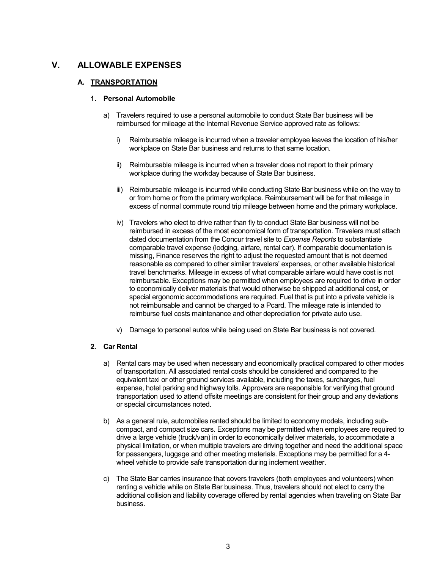# **V. ALLOWABLE EXPENSES**

# **A. TRANSPORTATION**

### **1. Personal Automobile**

- a) Travelers required to use a personal automobile to conduct State Bar business will be reimbursed for mileage at the Internal Revenue Service approved rate as follows:
	- i) Reimbursable mileage is incurred when a traveler employee leaves the location of his/her workplace on State Bar business and returns to that same location.
	- ii) Reimbursable mileage is incurred when a traveler does not report to their primary workplace during the workday because of State Bar business.
	- iii) Reimbursable mileage is incurred while conducting State Bar business while on the way to or from home or from the primary workplace. Reimbursement will be for that mileage in excess of normal commute round trip mileage between home and the primary workplace.
	- iv) Travelers who elect to drive rather than fly to conduct State Bar business will not be reimbursed in excess of the most economical form of transportation. Travelers must attach dated documentation from the Concur travel site to *Expense Reports* to substantiate comparable travel expense (lodging, airfare, rental car). If comparable documentation is missing, Finance reserves the right to adjust the requested amount that is not deemed reasonable as compared to other similar travelers' expenses, or other available historical travel benchmarks. Mileage in excess of what comparable airfare would have cost is not reimbursable. Exceptions may be permitted when employees are required to drive in order to economically deliver materials that would otherwise be shipped at additional cost, or special ergonomic accommodations are required. Fuel that is put into a private vehicle is not reimbursable and cannot be charged to a Pcard. The mileage rate is intended to reimburse fuel costs maintenance and other depreciation for private auto use.
	- v) Damage to personal autos while being used on State Bar business is not covered.

### **2. Car Rental**

- a) Rental cars may be used when necessary and economically practical compared to other modes of transportation. All associated rental costs should be considered and compared to the equivalent taxi or other ground services available, including the taxes, surcharges, fuel expense, hotel parking and highway tolls. Approvers are responsible for verifying that ground transportation used to attend offsite meetings are consistent for their group and any deviations or special circumstances noted.
- b) As a general rule, automobiles rented should be limited to economy models, including subcompact, and compact size cars. Exceptions may be permitted when employees are required to drive a large vehicle (truck/van) in order to economically deliver materials, to accommodate a physical limitation, or when multiple travelers are driving together and need the additional space for passengers, luggage and other meeting materials. Exceptions may be permitted for a 4 wheel vehicle to provide safe transportation during inclement weather.
- c) The State Bar carries insurance that covers travelers (both employees and volunteers) when renting a vehicle while on State Bar business. Thus, travelers should not elect to carry the additional collision and liability coverage offered by rental agencies when traveling on State Bar business.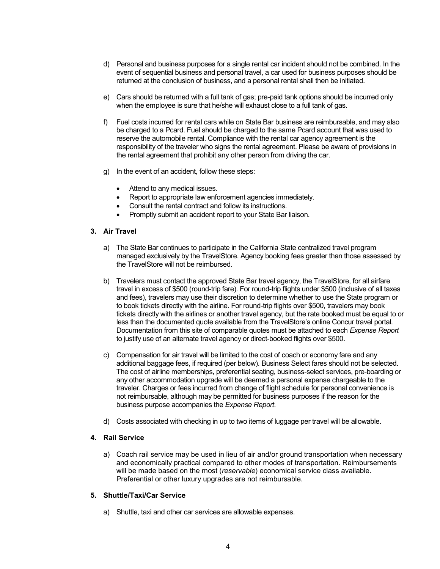- d) Personal and business purposes for a single rental car incident should not be combined. In the event of sequential business and personal travel, a car used for business purposes should be returned at the conclusion of business, and a personal rental shall then be initiated.
- e) Cars should be returned with a full tank of gas; pre-paid tank options should be incurred only when the employee is sure that he/she will exhaust close to a full tank of gas.
- f) Fuel costs incurred for rental cars while on State Bar business are reimbursable, and may also be charged to a Pcard. Fuel should be charged to the same Pcard account that was used to reserve the automobile rental. Compliance with the rental car agency agreement is the responsibility of the traveler who signs the rental agreement. Please be aware of provisions in the rental agreement that prohibit any other person from driving the car.
- g) In the event of an accident, follow these steps:
	- Attend to any medical issues.
	- Report to appropriate law enforcement agencies immediately.
	- Consult the rental contract and follow its instructions.
	- Promptly submit an accident report to your State Bar liaison.

# **3. Air Travel**

- a) The State Bar continues to participate in the California State centralized travel program managed exclusively by the TravelStore. Agency booking fees greater than those assessed by the TravelStore will not be reimbursed.
- b) Travelers must contact the approved State Bar travel agency, the TravelStore, for all airfare travel in excess of \$500 (round-trip fare). For round-trip flights under \$500 (inclusive of all taxes and fees), travelers may use their discretion to determine whether to use the State program or to book tickets directly with the airline. For round-trip flights over \$500, travelers may book tickets directly with the airlines or another travel agency, but the rate booked must be equal to or less than the documented quote available from the TravelStore's online Concur travel portal. Documentation from this site of comparable quotes must be attached to each *Expense Report* to justify use of an alternate travel agency or direct-booked flights over \$500.
- c) Compensation for air travel will be limited to the cost of coach or economy fare and any additional baggage fees, if required (per below). Business Select fares should not be selected. The cost of airline memberships, preferential seating, business-select services, pre-boarding or any other accommodation upgrade will be deemed a personal expense chargeable to the traveler. Charges or fees incurred from change of flight schedule for personal convenience is not reimbursable, although may be permitted for business purposes if the reason for the business purpose accompanies the *Expense Report*.
- d) Costs associated with checking in up to two items of luggage per travel will be allowable.

### **4. Rail Service**

a) Coach rail service may be used in lieu of air and/or ground transportation when necessary and economically practical compared to other modes of transportation. Reimbursements will be made based on the most (*reservable*) economical service class available. Preferential or other luxury upgrades are not reimbursable.

### **5. Shuttle/Taxi/Car Service**

a) Shuttle, taxi and other car services are allowable expenses.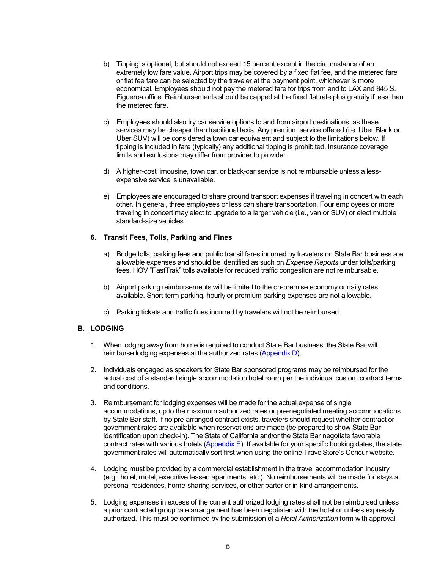- b) Tipping is optional, but should not exceed 15 percent except in the circumstance of an extremely low fare value. Airport trips may be covered by a fixed flat fee, and the metered fare or flat fee fare can be selected by the traveler at the payment point, whichever is more economical. Employees should not pay the metered fare for trips from and to LAX and 845 S. Figueroa office. Reimbursements should be capped at the fixed flat rate plus gratuity if less than the metered fare.
- c) Employees should also try car service options to and from airport destinations, as these services may be cheaper than traditional taxis. Any premium service offered (i.e. Uber Black or Uber SUV) will be considered a town car equivalent and subject to the limitations below. If tipping is included in fare (typically) any additional tipping is prohibited. Insurance coverage limits and exclusions may differ from provider to provider.
- d) A higher-cost limousine, town car, or black-car service is not reimbursable unless a lessexpensive service is unavailable.
- e) Employees are encouraged to share ground transport expenses if traveling in concert with each other. In general, three employees or less can share transportation. Four employees or more traveling in concert may elect to upgrade to a larger vehicle (i.e., van or SUV) or elect multiple standard-size vehicles.

# **6. Transit Fees, Tolls, Parking and Fines**

- a) Bridge tolls, parking fees and public transit fares incurred by travelers on State Bar business are allowable expenses and should be identified as such on *Expense Reports* under tolls/parking fees. HOV "FastTrak" tolls available for reduced traffic congestion are not reimbursable.
- b) Airport parking reimbursements will be limited to the on-premise economy or daily rates available. Short-term parking, hourly or premium parking expenses are not allowable.
- c) Parking tickets and traffic fines incurred by travelers will not be reimbursed.

# **B. LODGING**

- 1. When lodging away from home is required to conduct State Bar business, the State Bar will reimburse lodging expenses at the authorized rates [\(Appendix D\).](#page-8-0)
- 2. Individuals engaged as speakers for State Bar sponsored programs may be reimbursed for the actual cost of a standard single accommodation hotel room per the individual custom contract terms and conditions.
- 3. Reimbursement for lodging expenses will be made for the actual expense of single accommodations, up to the maximum authorized rates or pre-negotiated meeting accommodations by State Bar staff. If no pre-arranged contract exists, travelers should request whether contract or government rates are available when reservations are made (be prepared to show State Bar identification upon check-in). The State of California and/or the State Bar negotiate favorable contract rates with various hotels [\(Appendix E\). I](#page-9-0)f available for your specific booking dates, the state government rates will automatically sort first when using the online TravelStore's Concur website.
- 4. Lodging must be provided by a commercial establishment in the travel accommodation industry (e.g., hotel, motel, executive leased apartments, etc.). No reimbursements will be made for stays at personal residences, home-sharing services, or other barter or in-kind arrangements.
- 5. Lodging expenses in excess of the current authorized lodging rates shall not be reimbursed unless a prior contracted group rate arrangement has been negotiated with the hotel or unless expressly authorized. This must be confirmed by the submission of a *Hotel Authorization* form with approval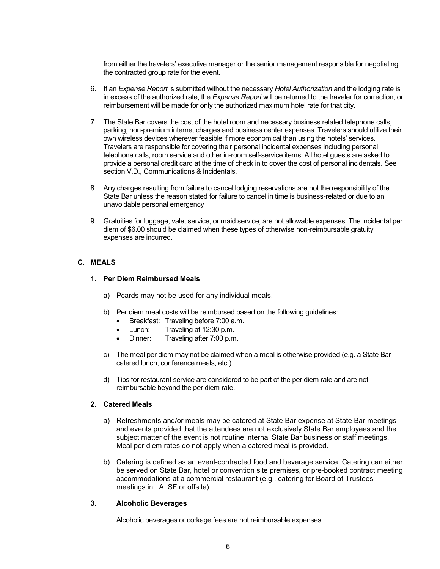from either the travelers' executive manager or the senior management responsible for negotiating the contracted group rate for the event.

- 6. If an *Expense Report* is submitted without the necessary *Hotel Authorization* and the lodging rate is in excess of the authorized rate, the *Expense Report* will be returned to the traveler for correction, or reimbursement will be made for only the authorized maximum hotel rate for that city.
- 7. The State Bar covers the cost of the hotel room and necessary business related telephone calls, parking, non-premium internet charges and business center expenses. Travelers should utilize their own wireless devices wherever feasible if more economical than using the hotels' services. Travelers are responsible for covering their personal incidental expenses including personal telephone calls, room service and other in-room self-service items. All hotel guests are asked to provide a personal credit card at the time of check in to cover the cost of personal incidentals. See section V.D., Communications & Incidentals.
- 8. Any charges resulting from failure to cancel lodging reservations are not the responsibility of the State Bar unless the reason stated for failure to cancel in time is business-related or due to an unavoidable personal emergency
- 9. Gratuities for luggage, valet service, or maid service, are not allowable expenses. The incidental per diem of \$6.00 should be claimed when these types of otherwise non-reimbursable gratuity expenses are incurred.

# **C. MEALS**

# **1. Per Diem Reimbursed Meals**

- a) Pcards may not be used for any individual meals.
- b) Per diem meal costs will be reimbursed based on the following guidelines:
	- Breakfast: Traveling before 7:00 a.m.
	- · Lunch: Traveling at 12:30 p.m.
	- · Dinner: Traveling after 7:00 p.m.
- c) The meal per diem may not be claimed when a meal is otherwise provided (e.g. a State Bar catered lunch, conference meals, etc.).
- d) Tips for restaurant service are considered to be part of the per diem rate and are not reimbursable beyond the per diem rate.

### **2. Catered Meals**

- a) Refreshments and/or meals may be catered at State Bar expense at State Bar meetings and events provided that the attendees are not exclusively State Bar employees and the subject matter of the event is not routine internal State Bar business or staff meetings. Meal per diem rates do not apply when a catered meal is provided.
- b) Catering is defined as an event-contracted food and beverage service. Catering can either be served on State Bar, hotel or convention site premises, or pre-booked contract meeting accommodations at a commercial restaurant (e.g., catering for Board of Trustees meetings in LA, SF or offsite).

### **3. Alcoholic Beverages**

Alcoholic beverages or corkage fees are not reimbursable expenses.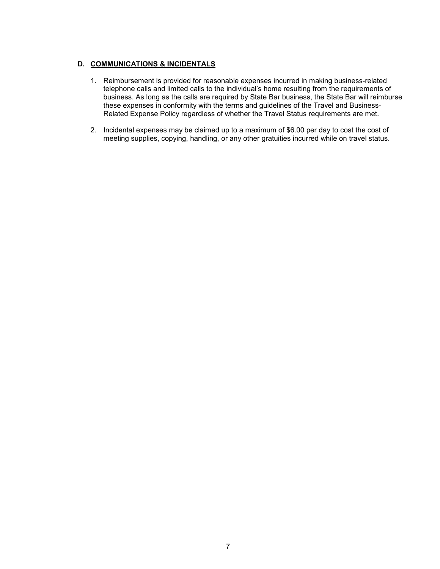# **D. COMMUNICATIONS & INCIDENTALS**

- 1. Reimbursement is provided for reasonable expenses incurred in making business-related telephone calls and limited calls to the individual's home resulting from the requirements of business. As long as the calls are required by State Bar business, the State Bar will reimburse these expenses in conformity with the terms and guidelines of the Travel and Business-Related Expense Policy regardless of whether the Travel Status requirements are met.
- 2. Incidental expenses may be claimed up to a maximum of \$6.00 per day to cost the cost of meeting supplies, copying, handling, or any other gratuities incurred while on travel status.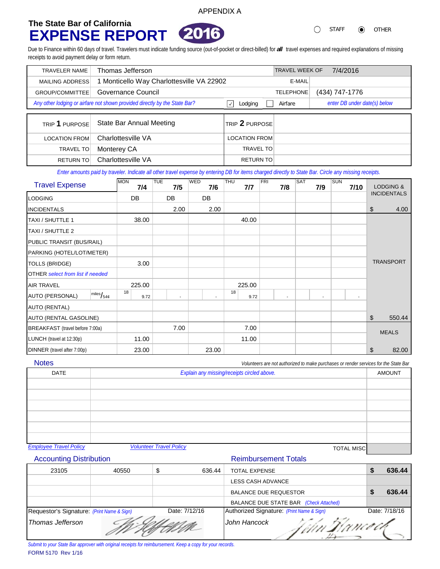# <span id="page-7-0"></span>**The State Bar of California EXPENSE REPORT**



STAFF **O** OTHER  $\bigcirc$ 

Due to Finance within 60 days of travel. Travelers must indicate funding source (out-of-pocket or direct-billed) for *all* travel expenses and required explanations of missing receipts to avoid payment delay or form return.

APPENDIX A

| <b>TRAVELER NAME</b> | Thomas Jefferson                                                           | <b>TRAVEL WEEK OF</b>   | 7/4/2016       |                              |
|----------------------|----------------------------------------------------------------------------|-------------------------|----------------|------------------------------|
| MAILING ADDRESS      | 1 Monticello Way Charlottesville VA 22902                                  | E-MAIL                  |                |                              |
| GROUP/COMMITTEE      | Governance Council                                                         | <b>TELEPHONE</b>        | (434) 747-1776 |                              |
|                      | Any other lodging or airfare not shown provided directly by the State Bar? | $\checkmark$<br>Lodging | Airfare        | enter DB under date(s) below |
|                      |                                                                            |                         |                |                              |
| TRIP 1 PURPOSE       | <b>State Bar Annual Meeting</b>                                            | TRIP 2 PURPOSE          |                |                              |
|                      |                                                                            |                         |                |                              |
| <b>LOCATION FROM</b> | Charlottesville VA                                                         | <b>LOCATION FROM</b>    |                |                              |
| <b>TRAVEL TO</b>     | Monterey CA                                                                | <b>TRAVEL TO</b>        |                |                              |

*Enter amounts paid by traveler. Indicate all other travel expense by entering DB for items charged directly to State Bar. Circle any missing receipts.*

| <b>Travel Expense</b>                                              | <b>MON</b><br>7/4 | <b>TUE</b><br>7/5        | <b>WED</b><br>7/6        | THU<br>7/7 | FRI<br>7/8               | SAT<br>7/9               | SUN<br>7/10              | <b>LODGING &amp;</b> |  |
|--------------------------------------------------------------------|-------------------|--------------------------|--------------------------|------------|--------------------------|--------------------------|--------------------------|----------------------|--|
| <b>LODGING</b>                                                     | DB                | DB                       | <b>DB</b>                |            |                          |                          |                          | <b>INCIDENTALS</b>   |  |
| <b>INCIDENTALS</b>                                                 |                   | 2.00                     | 2.00                     |            |                          |                          |                          | \$<br>4.00           |  |
| <b>TAXI / SHUTTLE 1</b>                                            | 38.00             |                          |                          | 40.00      |                          |                          |                          |                      |  |
| TAXI / SHUTTLE 2                                                   |                   |                          |                          |            |                          |                          |                          |                      |  |
| PUBLIC TRANSIT (BUS/RAIL)                                          |                   |                          |                          |            |                          |                          |                          |                      |  |
| PARKING (HOTEL/LOT/METER)                                          |                   |                          |                          |            |                          |                          |                          |                      |  |
| <b>TOLLS (BRIDGE)</b>                                              | 3.00              |                          |                          |            |                          |                          |                          | <b>TRANSPORT</b>     |  |
| <b>OTHER</b> select from list if needed                            |                   |                          |                          |            |                          |                          |                          |                      |  |
| <b>AIR TRAVEL</b>                                                  | 225.00            |                          |                          | 225.00     |                          |                          |                          |                      |  |
| $\overline{\text{miles}}\text{/}_54\phi$<br><b>AUTO (PERSONAL)</b> | 18<br>9.72        | $\overline{\phantom{a}}$ | $\overline{\phantom{0}}$ | 18<br>9.72 | $\overline{\phantom{a}}$ | $\overline{\phantom{a}}$ | $\overline{\phantom{a}}$ |                      |  |
| <b>AUTO (RENTAL)</b>                                               |                   |                          |                          |            |                          |                          |                          |                      |  |
| AUTO (RENTAL GASOLINE)                                             |                   |                          |                          |            |                          |                          |                          | \$<br>550.44         |  |
| BREAKFAST (travel before 7:00a)                                    |                   | 7.00                     |                          | 7.00       |                          |                          |                          | <b>MEALS</b>         |  |
| LUNCH (travel at 12:30p)                                           | 11.00             |                          |                          | 11.00      |                          |                          |                          |                      |  |
| DINNER (travel after 7:00p)                                        | 23.00             |                          | 23.00                    |            |                          |                          |                          | \$<br>82.00          |  |

**Notes** 

*Volunteers are not authorized to make purchases or render services for the State Bar*

| <b>DATE</b>                   | Explain any missing/receipts circled above.         |  |
|-------------------------------|-----------------------------------------------------|--|
|                               |                                                     |  |
|                               |                                                     |  |
|                               |                                                     |  |
|                               |                                                     |  |
|                               |                                                     |  |
|                               |                                                     |  |
| <b>Employee Travel Policy</b> | <b>Volunteer Travel Policy</b><br><b>TOTAL MISC</b> |  |

# Accounting Distribution **Accounting Distribution** Reimbursement Totals

| 23105                                      | 40550 | 636.44<br>S   | <b>TOTAL EXPENSE</b>                      | 636.44        |
|--------------------------------------------|-------|---------------|-------------------------------------------|---------------|
|                                            |       |               | LESS CASH ADVANCE                         |               |
|                                            |       |               | <b>BALANCE DUE REQUESTOR</b>              | 636.44        |
|                                            |       |               | BALANCE DUE STATE BAR (Check Attached)    |               |
| Requestor's Signature: (Print Name & Sign) |       | Date: 7/12/16 | Authorized Signature: (Print Name & Sign) | Date: 7/18/16 |
| Thomas Jefferson                           |       |               | John Hancock<br>Um Dancock                |               |

FORM 5170 Rev 1/16 *Submit to your State Bar approver with original receipts for reimbursement. Keep a copy for your records.*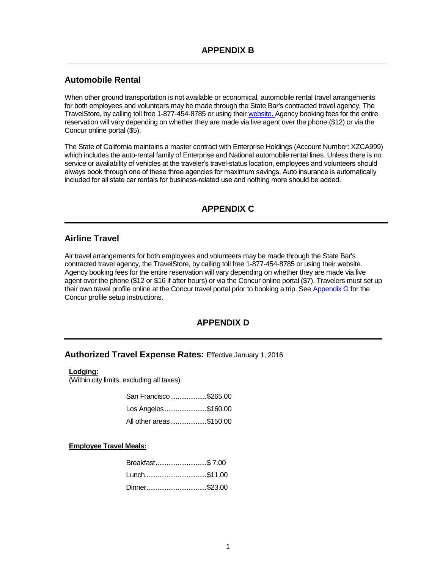# <span id="page-8-0"></span>**Automobile Rental**

When other ground transportation is not available or economical, automobile rental travel arrangements for both employees and volunteers may be made through the State Bar's contracted travel agency, The TravelStore, by calling toll free 1-877-454-8785 or using their [website.](https://www.concursolutions.com/) Agency booking fees for the entire reservation will vary depending on whether they are made via live agent over the phone (\$12) or via the Concur online portal (\$5).

The State of California maintains a master contract with Enterprise Holdings (Account Number: XZCA999) which includes the auto-rental family of Enterprise and National automobile rental lines. Unless there is no service or availability of vehicles at the traveler's travel-status location, employees and volunteers should always book through one of these three agencies for maximum savings. Auto insurance is automatically included for all state car rentals for business-related use and nothing more should be added.

# **APPENDIX C \_\_\_\_\_\_\_\_\_\_\_\_\_\_\_\_\_\_\_\_\_\_\_\_\_\_\_\_\_\_\_\_\_\_\_\_\_\_\_\_\_\_\_\_\_\_\_\_\_\_\_\_\_\_\_\_\_\_\_\_\_\_\_\_\_\_\_\_\_\_\_\_\_\_\_**

# **Airline Travel**

Air travel arrangements for both employees and volunteers may be made through the State Bar's contracted travel agency, the TravelStore, by calling toll free 1-877-454-8785 or using thei[r website.](https://www.concursolutions.com/)  Agency booking fees for the entire reservation will vary depending on whether they are made via live agent over the phone (\$12 or \$16 if after hours) or via the Concur online portal (\$7). Travelers must set up their own travel profile online at the Concur travel portal prior to booking a trip. Se[e Appendix G](#page-10-0) for the Concur profile setup instructions.

# **APPENDIX D**

# **Authorized Travel Expense Rates:** Effective January 1, 2016

### **Lodging:**

(Within city limits, excluding all taxes)

| San Francisco\$265.00   |  |
|-------------------------|--|
| Los Angeles \$160.00    |  |
| All other areas\$150.00 |  |

### **Employee Travel Meals:**

| Breakfast\$7.00 |  |
|-----------------|--|
| Lunch\$11.00    |  |
| Dinner\$23.00   |  |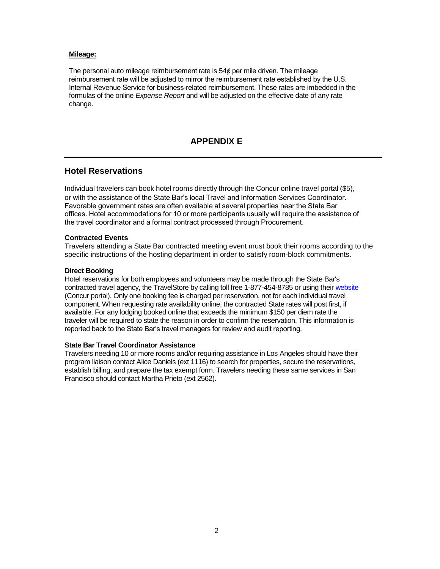### <span id="page-9-0"></span>**Mileage:**

The personal auto mileage reimbursement rate is 54¢ per mile driven. The mileage reimbursement rate will be adjusted to mirror the reimbursement rate established by the U.S. Internal Revenue Service for business-related reimbursement. These rates are imbedded in the formulas of the online *Expense Report* and will be adjusted on the effective date of any rate change.

# **APPENDIX E**

# **Hotel Reservations**

Individual travelers can book hotel rooms directly through the Concur online travel portal (\$5), or with the assistance of the State Bar's local Travel and Information Services Coordinator. Favorable government rates are often available at several properties near the State Bar offices. Hotel accommodations for 10 or more participants usually will require the assistance of the travel coordinator and a formal contract processed through Procurement.

### **Contracted Events**

Travelers attending a State Bar contracted meeting event must book their rooms according to the specific instructions of the hosting department in order to satisfy room-block commitments.

#### **Direct Booking**

Hotel reservations for both employees and volunteers may be made through the State Bar's contracted travel agency, the TravelStore by calling toll free 1-877-454-8785 or using their [website](https://www.concursolutions.com/) (Concur portal). Only one booking fee is charged per reservation, not for each individual travel component. When requesting rate availability online, the contracted State rates will post first, if available. For any lodging booked online that exceeds the minimum \$150 per diem rate the traveler will be required to state the reason in order to confirm the reservation. This information is reported back to the State Bar's travel managers for review and audit reporting.

### **State Bar Travel Coordinator Assistance**

Travelers needing 10 or more rooms and/or requiring assistance in Los Angeles should have their program liaison contact Alice Daniels (ext 1116) to search for properties, secure the reservations, establish billing, and prepare the tax exempt form. Travelers needing these same services in San Francisco should contact Martha Prieto (ext 2562).